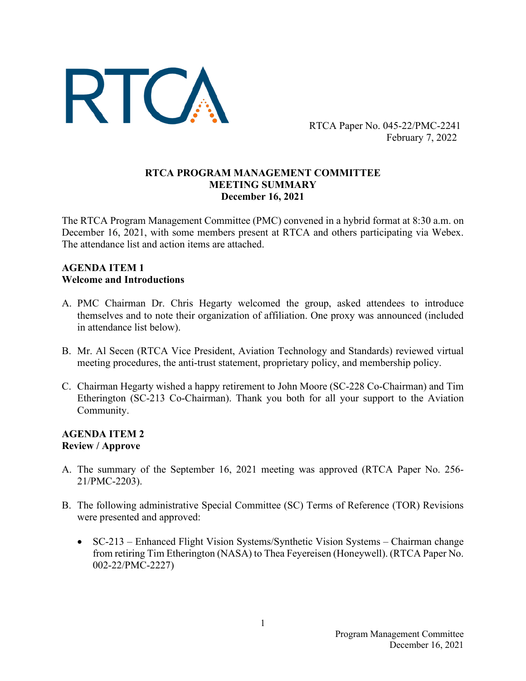

RTCA Paper No. 045-22/PMC-2241 February 7, 2022

#### **RTCA PROGRAM MANAGEMENT COMMITTEE MEETING SUMMARY December 16, 2021**

The RTCA Program Management Committee (PMC) convened in a hybrid format at 8:30 a.m. on December 16, 2021, with some members present at RTCA and others participating via Webex. The attendance list and action items are attached.

#### **AGENDA ITEM 1 Welcome and Introductions**

- A. PMC Chairman Dr. Chris Hegarty welcomed the group, asked attendees to introduce themselves and to note their organization of affiliation. One proxy was announced (included in attendance list below).
- B. Mr. Al Secen (RTCA Vice President, Aviation Technology and Standards) reviewed virtual meeting procedures, the anti-trust statement, proprietary policy, and membership policy.
- C. Chairman Hegarty wished a happy retirement to John Moore (SC-228 Co-Chairman) and Tim Etherington (SC-213 Co-Chairman). Thank you both for all your support to the Aviation Community.

#### **AGENDA ITEM 2 Review / Approve**

- A. The summary of the September 16, 2021 meeting was approved (RTCA Paper No. 256- 21/PMC-2203).
- B. The following administrative Special Committee (SC) Terms of Reference (TOR) Revisions were presented and approved:
	- SC-213 Enhanced Flight Vision Systems/Synthetic Vision Systems Chairman change from retiring Tim Etherington (NASA) to Thea Feyereisen (Honeywell). (RTCA Paper No. 002-22/PMC-2227)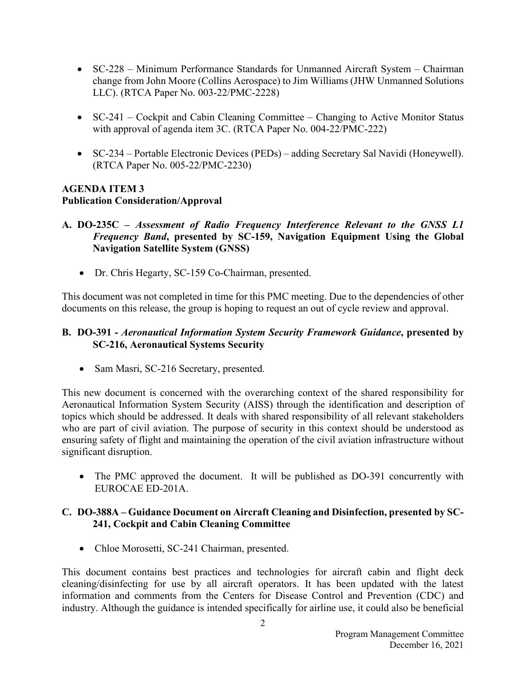- SC-228 Minimum Performance Standards for Unmanned Aircraft System Chairman change from John Moore (Collins Aerospace) to Jim Williams (JHW Unmanned Solutions LLC). (RTCA Paper No. 003-22/PMC-2228)
- SC-241 Cockpit and Cabin Cleaning Committee Changing to Active Monitor Status with approval of agenda item 3C. (RTCA Paper No. 004-22/PMC-222)
- SC-234 Portable Electronic Devices (PEDs) adding Secretary Sal Navidi (Honeywell). (RTCA Paper No. 005-22/PMC-2230)

# **AGENDA ITEM 3 Publication Consideration/Approval**

- **A. DO-235C –** *Assessment of Radio Frequency Interference Relevant to the GNSS L1 Frequency Band***, presented by SC-159, Navigation Equipment Using the Global Navigation Satellite System (GNSS)** 
	- Dr. Chris Hegarty, SC-159 Co-Chairman, presented.

This document was not completed in time for this PMC meeting. Due to the dependencies of other documents on this release, the group is hoping to request an out of cycle review and approval.

#### **B. DO-391 -** *Aeronautical Information System Security Framework Guidance***, presented by SC-216, Aeronautical Systems Security**

• Sam Masri, SC-216 Secretary, presented.

This new document is concerned with the overarching context of the shared responsibility for Aeronautical Information System Security (AISS) through the identification and description of topics which should be addressed. It deals with shared responsibility of all relevant stakeholders who are part of civil aviation. The purpose of security in this context should be understood as ensuring safety of flight and maintaining the operation of the civil aviation infrastructure without significant disruption.

• The PMC approved the document. It will be published as DO-391 concurrently with EUROCAE ED-201A.

# **C. DO-388A – Guidance Document on Aircraft Cleaning and Disinfection, presented by SC-241, Cockpit and Cabin Cleaning Committee**

• Chloe Morosetti, SC-241 Chairman, presented.

This document contains best practices and technologies for aircraft cabin and flight deck cleaning/disinfecting for use by all aircraft operators. It has been updated with the latest information and comments from the Centers for Disease Control and Prevention (CDC) and industry. Although the guidance is intended specifically for airline use, it could also be beneficial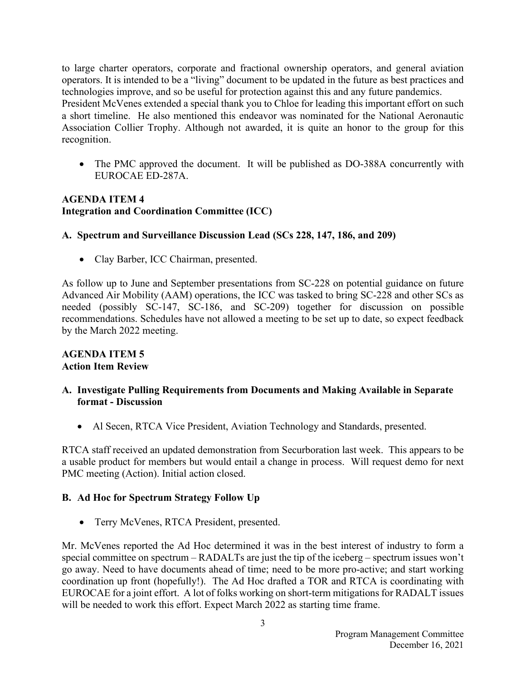to large charter operators, corporate and fractional ownership operators, and general aviation operators. It is intended to be a "living" document to be updated in the future as best practices and technologies improve, and so be useful for protection against this and any future pandemics. President McVenes extended a special thank you to Chloe for leading this important effort on such a short timeline. He also mentioned this endeavor was nominated for the National Aeronautic Association Collier Trophy. Although not awarded, it is quite an honor to the group for this recognition.

• The PMC approved the document. It will be published as DO-388A concurrently with EUROCAE ED-287A.

## **AGENDA ITEM 4 Integration and Coordination Committee (ICC)**

# **A. Spectrum and Surveillance Discussion Lead (SCs 228, 147, 186, and 209)**

• Clay Barber, ICC Chairman, presented.

As follow up to June and September presentations from SC-228 on potential guidance on future Advanced Air Mobility (AAM) operations, the ICC was tasked to bring SC-228 and other SCs as needed (possibly SC-147, SC-186, and SC-209) together for discussion on possible recommendations. Schedules have not allowed a meeting to be set up to date, so expect feedback by the March 2022 meeting.

#### **AGENDA ITEM 5 Action Item Review**

### **A. Investigate Pulling Requirements from Documents and Making Available in Separate format - Discussion**

• Al Secen, RTCA Vice President, Aviation Technology and Standards, presented.

RTCA staff received an updated demonstration from Securboration last week. This appears to be a usable product for members but would entail a change in process. Will request demo for next PMC meeting (Action). Initial action closed.

### **B. Ad Hoc for Spectrum Strategy Follow Up**

• Terry McVenes, RTCA President, presented.

Mr. McVenes reported the Ad Hoc determined it was in the best interest of industry to form a special committee on spectrum – RADALTs are just the tip of the iceberg – spectrum issues won't go away. Need to have documents ahead of time; need to be more pro-active; and start working coordination up front (hopefully!). The Ad Hoc drafted a TOR and RTCA is coordinating with EUROCAE for a joint effort. A lot of folks working on short-term mitigations for RADALT issues will be needed to work this effort. Expect March 2022 as starting time frame.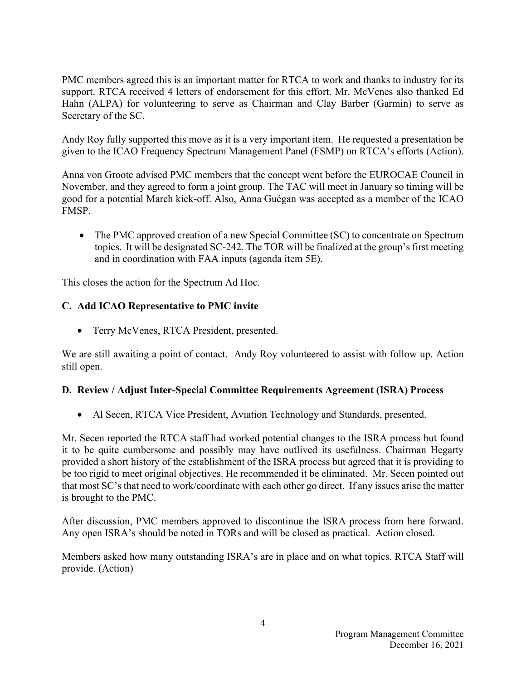PMC members agreed this is an important matter for RTCA to work and thanks to industry for its support. RTCA received 4 letters of endorsement for this effort. Mr. McVenes also thanked Ed Hahn (ALPA) for volunteering to serve as Chairman and Clay Barber (Garmin) to serve as Secretary of the SC.

Andy Roy fully supported this move as it is a very important item. He requested a presentation be given to the ICAO Frequency Spectrum Management Panel (FSMP) on RTCA's efforts (Action).

Anna von Groote advised PMC members that the concept went before the EUROCAE Council in November, and they agreed to form a joint group. The TAC will meet in January so timing will be good for a potential March kick-off. Also, Anna Guégan was accepted as a member of the ICAO FMSP.

• The PMC approved creation of a new Special Committee (SC) to concentrate on Spectrum topics. It will be designated SC-242. The TOR will be finalized at the group's first meeting and in coordination with FAA inputs (agenda item 5E).

This closes the action for the Spectrum Ad Hoc.

### **C. Add ICAO Representative to PMC invite**

• Terry McVenes, RTCA President, presented.

We are still awaiting a point of contact. Andy Roy volunteered to assist with follow up. Action still open.

### **D. Review / Adjust Inter-Special Committee Requirements Agreement (ISRA) Process**

• Al Secen, RTCA Vice President, Aviation Technology and Standards, presented.

Mr. Secen reported the RTCA staff had worked potential changes to the ISRA process but found it to be quite cumbersome and possibly may have outlived its usefulness. Chairman Hegarty provided a short history of the establishment of the ISRA process but agreed that it is providing to be too rigid to meet original objectives. He recommended it be eliminated. Mr. Secen pointed out that most SC's that need to work/coordinate with each other go direct. If any issues arise the matter is brought to the PMC.

After discussion, PMC members approved to discontinue the ISRA process from here forward. Any open ISRA's should be noted in TORs and will be closed as practical. Action closed.

Members asked how many outstanding ISRA's are in place and on what topics. RTCA Staff will provide. (Action)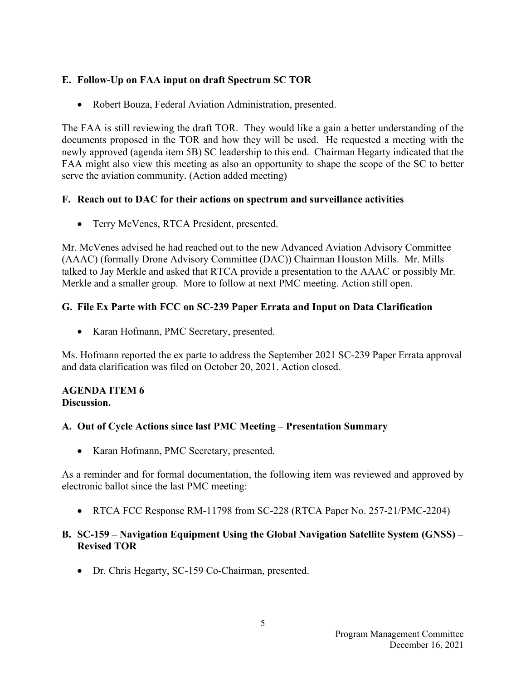## **E. Follow-Up on FAA input on draft Spectrum SC TOR**

• Robert Bouza, Federal Aviation Administration, presented.

The FAA is still reviewing the draft TOR. They would like a gain a better understanding of the documents proposed in the TOR and how they will be used. He requested a meeting with the newly approved (agenda item 5B) SC leadership to this end. Chairman Hegarty indicated that the FAA might also view this meeting as also an opportunity to shape the scope of the SC to better serve the aviation community. (Action added meeting)

#### **F. Reach out to DAC for their actions on spectrum and surveillance activities**

• Terry McVenes, RTCA President, presented.

Mr. McVenes advised he had reached out to the new Advanced Aviation Advisory Committee (AAAC) (formally Drone Advisory Committee (DAC)) Chairman Houston Mills. Mr. Mills talked to Jay Merkle and asked that RTCA provide a presentation to the AAAC or possibly Mr. Merkle and a smaller group. More to follow at next PMC meeting. Action still open.

# **G. File Ex Parte with FCC on SC-239 Paper Errata and Input on Data Clarification**

• Karan Hofmann, PMC Secretary, presented.

Ms. Hofmann reported the ex parte to address the September 2021 SC-239 Paper Errata approval and data clarification was filed on October 20, 2021. Action closed.

#### **AGENDA ITEM 6 Discussion.**

### **A. Out of Cycle Actions since last PMC Meeting – Presentation Summary**

• Karan Hofmann, PMC Secretary, presented.

As a reminder and for formal documentation, the following item was reviewed and approved by electronic ballot since the last PMC meeting:

• RTCA FCC Response RM-11798 from SC-228 (RTCA Paper No. 257-21/PMC-2204)

### **B. SC-159 – Navigation Equipment Using the Global Navigation Satellite System (GNSS) – Revised TOR**

• Dr. Chris Hegarty, SC-159 Co-Chairman, presented.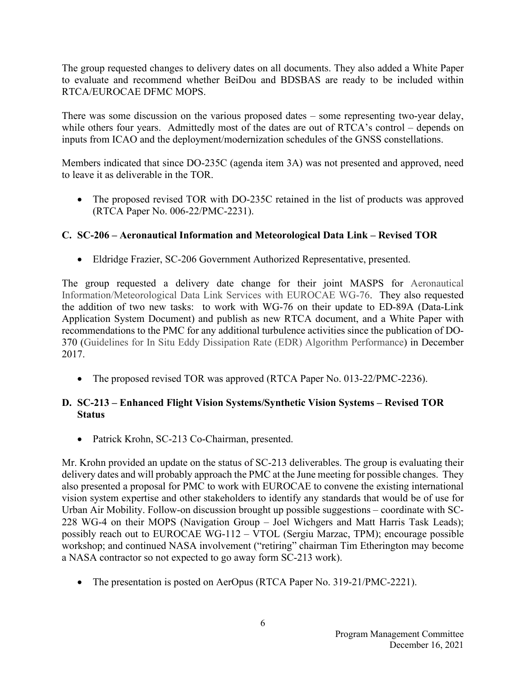The group requested changes to delivery dates on all documents. They also added a White Paper to evaluate and recommend whether BeiDou and BDSBAS are ready to be included within RTCA/EUROCAE DFMC MOPS.

There was some discussion on the various proposed dates – some representing two-year delay, while others four years. Admittedly most of the dates are out of RTCA's control – depends on inputs from ICAO and the deployment/modernization schedules of the GNSS constellations.

Members indicated that since DO-235C (agenda item 3A) was not presented and approved, need to leave it as deliverable in the TOR.

• The proposed revised TOR with DO-235C retained in the list of products was approved (RTCA Paper No. 006-22/PMC-2231).

# **C. SC-206 – Aeronautical Information and Meteorological Data Link – Revised TOR**

• Eldridge Frazier, SC-206 Government Authorized Representative, presented.

The group requested a delivery date change for their joint MASPS for Aeronautical Information/Meteorological Data Link Services with EUROCAE WG-76. They also requested the addition of two new tasks: to work with WG-76 on their update to ED-89A (Data-Link Application System Document) and publish as new RTCA document, and a White Paper with recommendations to the PMC for any additional turbulence activities since the publication of DO-370 (Guidelines for In Situ Eddy Dissipation Rate (EDR) Algorithm Performance) in December 2017.

• The proposed revised TOR was approved (RTCA Paper No. 013-22/PMC-2236).

# **D. SC-213 – Enhanced Flight Vision Systems/Synthetic Vision Systems – Revised TOR Status**

• Patrick Krohn, SC-213 Co-Chairman, presented.

Mr. Krohn provided an update on the status of SC-213 deliverables. The group is evaluating their delivery dates and will probably approach the PMC at the June meeting for possible changes. They also presented a proposal for PMC to work with EUROCAE to convene the existing international vision system expertise and other stakeholders to identify any standards that would be of use for Urban Air Mobility. Follow-on discussion brought up possible suggestions – coordinate with SC-228 WG-4 on their MOPS (Navigation Group – Joel Wichgers and Matt Harris Task Leads); possibly reach out to EUROCAE WG-112 – VTOL (Sergiu Marzac, TPM); encourage possible workshop; and continued NASA involvement ("retiring" chairman Tim Etherington may become a NASA contractor so not expected to go away form SC-213 work).

• The presentation is posted on AerOpus (RTCA Paper No. 319-21/PMC-2221).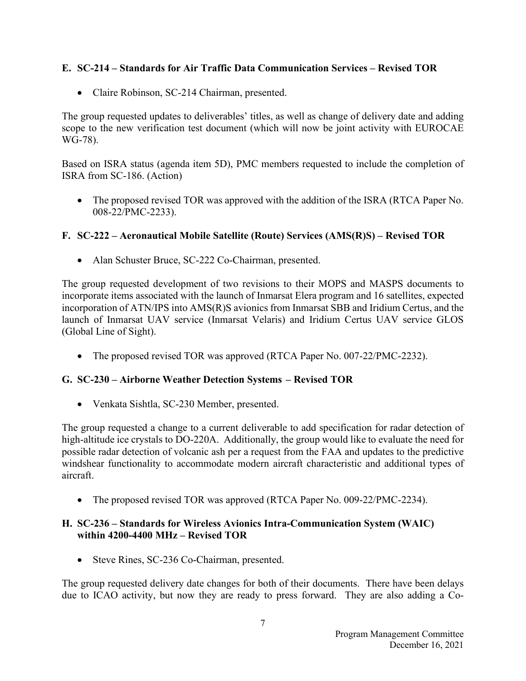# **E. SC-214 – Standards for Air Traffic Data Communication Services – Revised TOR**

• Claire Robinson, SC-214 Chairman, presented.

The group requested updates to deliverables' titles, as well as change of delivery date and adding scope to the new verification test document (which will now be joint activity with EUROCAE WG-78).

Based on ISRA status (agenda item 5D), PMC members requested to include the completion of ISRA from SC-186. (Action)

• The proposed revised TOR was approved with the addition of the ISRA (RTCA Paper No. 008-22/PMC-2233).

# **F. SC-222 – Aeronautical Mobile Satellite (Route) Services (AMS(R)S) – Revised TOR**

• Alan Schuster Bruce, SC-222 Co-Chairman, presented.

The group requested development of two revisions to their MOPS and MASPS documents to incorporate items associated with the launch of Inmarsat Elera program and 16 satellites, expected incorporation of ATN/IPS into AMS(R)S avionics from Inmarsat SBB and Iridium Certus, and the launch of Inmarsat UAV service (Inmarsat Velaris) and Iridium Certus UAV service GLOS (Global Line of Sight).

• The proposed revised TOR was approved (RTCA Paper No. 007-22/PMC-2232).

### **G. SC-230 – Airborne Weather Detection Systems – Revised TOR**

• Venkata Sishtla, SC-230 Member, presented.

The group requested a change to a current deliverable to add specification for radar detection of high-altitude ice crystals to DO-220A. Additionally, the group would like to evaluate the need for possible radar detection of volcanic ash per a request from the FAA and updates to the predictive windshear functionality to accommodate modern aircraft characteristic and additional types of aircraft.

• The proposed revised TOR was approved (RTCA Paper No. 009-22/PMC-2234).

### **H. SC-236 – Standards for Wireless Avionics Intra-Communication System (WAIC) within 4200-4400 MHz – Revised TOR**

• Steve Rines, SC-236 Co-Chairman, presented.

The group requested delivery date changes for both of their documents. There have been delays due to ICAO activity, but now they are ready to press forward. They are also adding a Co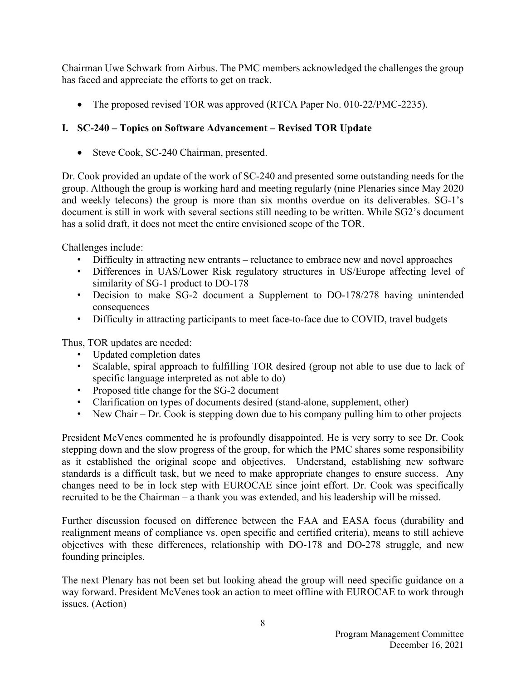Chairman Uwe Schwark from Airbus. The PMC members acknowledged the challenges the group has faced and appreciate the efforts to get on track.

• The proposed revised TOR was approved (RTCA Paper No. 010-22/PMC-2235).

# **I. SC-240 – Topics on Software Advancement – Revised TOR Update**

• Steve Cook, SC-240 Chairman, presented.

Dr. Cook provided an update of the work of SC-240 and presented some outstanding needs for the group. Although the group is working hard and meeting regularly (nine Plenaries since May 2020 and weekly telecons) the group is more than six months overdue on its deliverables. SG-1's document is still in work with several sections still needing to be written. While SG2's document has a solid draft, it does not meet the entire envisioned scope of the TOR.

Challenges include:

- Difficulty in attracting new entrants reluctance to embrace new and novel approaches
- Differences in UAS/Lower Risk regulatory structures in US/Europe affecting level of similarity of SG-1 product to DO-178
- Decision to make SG-2 document a Supplement to DO-178/278 having unintended consequences
- Difficulty in attracting participants to meet face-to-face due to COVID, travel budgets

Thus, TOR updates are needed:

- Updated completion dates
- Scalable, spiral approach to fulfilling TOR desired (group not able to use due to lack of specific language interpreted as not able to do)
- Proposed title change for the SG-2 document
- Clarification on types of documents desired (stand-alone, supplement, other)
- New Chair Dr. Cook is stepping down due to his company pulling him to other projects

President McVenes commented he is profoundly disappointed. He is very sorry to see Dr. Cook stepping down and the slow progress of the group, for which the PMC shares some responsibility as it established the original scope and objectives. Understand, establishing new software standards is a difficult task, but we need to make appropriate changes to ensure success. Any changes need to be in lock step with EUROCAE since joint effort. Dr. Cook was specifically recruited to be the Chairman – a thank you was extended, and his leadership will be missed.

Further discussion focused on difference between the FAA and EASA focus (durability and realignment means of compliance vs. open specific and certified criteria), means to still achieve objectives with these differences, relationship with DO-178 and DO-278 struggle, and new founding principles.

The next Plenary has not been set but looking ahead the group will need specific guidance on a way forward. President McVenes took an action to meet offline with EUROCAE to work through issues. (Action)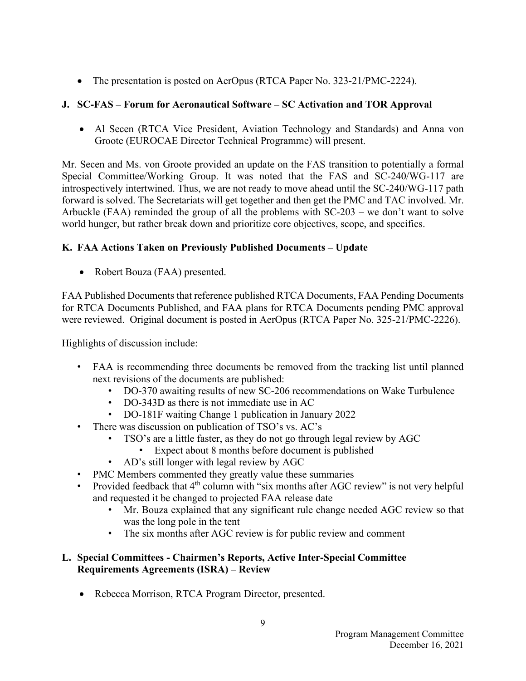• The presentation is posted on AerOpus (RTCA Paper No. 323-21/PMC-2224).

# **J. SC-FAS – Forum for Aeronautical Software – SC Activation and TOR Approval**

• Al Secen (RTCA Vice President, Aviation Technology and Standards) and Anna von Groote (EUROCAE Director Technical Programme) will present.

Mr. Secen and Ms. von Groote provided an update on the FAS transition to potentially a formal Special Committee/Working Group. It was noted that the FAS and SC-240/WG-117 are introspectively intertwined. Thus, we are not ready to move ahead until the SC-240/WG-117 path forward is solved. The Secretariats will get together and then get the PMC and TAC involved. Mr. Arbuckle (FAA) reminded the group of all the problems with SC-203 – we don't want to solve world hunger, but rather break down and prioritize core objectives, scope, and specifics.

# **K. FAA Actions Taken on Previously Published Documents – Update**

• Robert Bouza (FAA) presented.

FAA Published Documents that reference published RTCA Documents, FAA Pending Documents for RTCA Documents Published, and FAA plans for RTCA Documents pending PMC approval were reviewed. Original document is posted in AerOpus (RTCA Paper No. 325-21/PMC-2226).

Highlights of discussion include:

- FAA is recommending three documents be removed from the tracking list until planned next revisions of the documents are published:
	- DO-370 awaiting results of new SC-206 recommendations on Wake Turbulence
	- DO-343D as there is not immediate use in AC
	- DO-181F waiting Change 1 publication in January 2022
- There was discussion on publication of TSO's vs. AC's
	- TSO's are a little faster, as they do not go through legal review by AGC
		- Expect about 8 months before document is published
	- AD's still longer with legal review by AGC
- PMC Members commented they greatly value these summaries
- Provided feedback that 4<sup>th</sup> column with "six months after AGC review" is not very helpful and requested it be changed to projected FAA release date
	- Mr. Bouza explained that any significant rule change needed AGC review so that was the long pole in the tent
	- The six months after AGC review is for public review and comment

# **L. Special Committees - Chairmen's Reports, Active Inter-Special Committee Requirements Agreements (ISRA) – Review**

• Rebecca Morrison, RTCA Program Director, presented.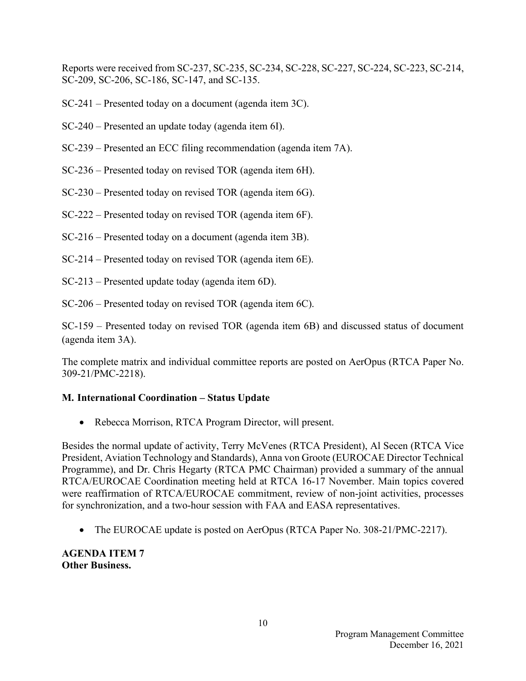Reports were received from SC-237, SC-235, SC-234, SC-228, SC-227, SC-224, SC-223, SC-214, SC-209, SC-206, SC-186, SC-147, and SC-135.

SC-241 – Presented today on a document (agenda item 3C).

- SC-240 Presented an update today (agenda item 6I).
- SC-239 Presented an ECC filing recommendation (agenda item 7A).
- SC-236 Presented today on revised TOR (agenda item 6H).
- SC-230 Presented today on revised TOR (agenda item 6G).
- SC-222 Presented today on revised TOR (agenda item 6F).
- SC-216 Presented today on a document (agenda item 3B).
- SC-214 Presented today on revised TOR (agenda item 6E).
- SC-213 Presented update today (agenda item 6D).
- SC-206 Presented today on revised TOR (agenda item 6C).

SC-159 – Presented today on revised TOR (agenda item 6B) and discussed status of document (agenda item 3A).

The complete matrix and individual committee reports are posted on AerOpus (RTCA Paper No. 309-21/PMC-2218).

### **M. International Coordination – Status Update**

• Rebecca Morrison, RTCA Program Director, will present.

Besides the normal update of activity, Terry McVenes (RTCA President), Al Secen (RTCA Vice President, Aviation Technology and Standards), Anna von Groote (EUROCAE Director Technical Programme), and Dr. Chris Hegarty (RTCA PMC Chairman) provided a summary of the annual RTCA/EUROCAE Coordination meeting held at RTCA 16-17 November. Main topics covered were reaffirmation of RTCA/EUROCAE commitment, review of non-joint activities, processes for synchronization, and a two-hour session with FAA and EASA representatives.

• The EUROCAE update is posted on AerOpus (RTCA Paper No. 308-21/PMC-2217).

**AGENDA ITEM 7 Other Business.**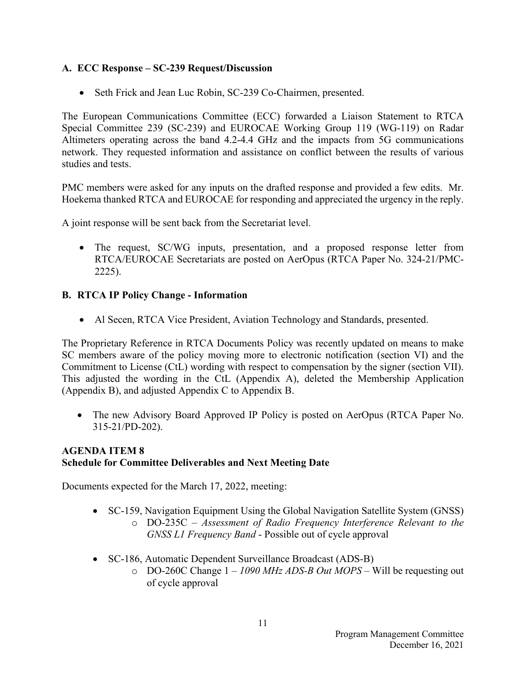# **A. ECC Response – SC-239 Request/Discussion**

• Seth Frick and Jean Luc Robin, SC-239 Co-Chairmen, presented.

The European Communications Committee (ECC) forwarded a Liaison Statement to RTCA Special Committee 239 (SC-239) and EUROCAE Working Group 119 (WG-119) on Radar Altimeters operating across the band 4.2-4.4 GHz and the impacts from 5G communications network. They requested information and assistance on conflict between the results of various studies and tests.

PMC members were asked for any inputs on the drafted response and provided a few edits. Mr. Hoekema thanked RTCA and EUROCAE for responding and appreciated the urgency in the reply.

A joint response will be sent back from the Secretariat level.

• The request, SC/WG inputs, presentation, and a proposed response letter from RTCA/EUROCAE Secretariats are posted on AerOpus (RTCA Paper No. 324-21/PMC-2225).

# **B. RTCA IP Policy Change - Information**

• Al Secen, RTCA Vice President, Aviation Technology and Standards, presented.

The Proprietary Reference in RTCA Documents Policy was recently updated on means to make SC members aware of the policy moving more to electronic notification (section VI) and the Commitment to License (CtL) wording with respect to compensation by the signer (section VII). This adjusted the wording in the CtL (Appendix A), deleted the Membership Application (Appendix B), and adjusted Appendix C to Appendix B.

• The new Advisory Board Approved IP Policy is posted on AerOpus (RTCA Paper No. 315-21/PD-202).

# **AGENDA ITEM 8 Schedule for Committee Deliverables and Next Meeting Date**

Documents expected for the March 17, 2022, meeting:

- SC-159, Navigation Equipment Using the Global Navigation Satellite System (GNSS) o DO-235C – *Assessment of Radio Frequency Interference Relevant to the GNSS L1 Frequency Band* - Possible out of cycle approval
- SC-186, Automatic Dependent Surveillance Broadcast (ADS-B)
	- o DO-260C Change 1 *1090 MHz ADS-B Out MOPS* Will be requesting out of cycle approval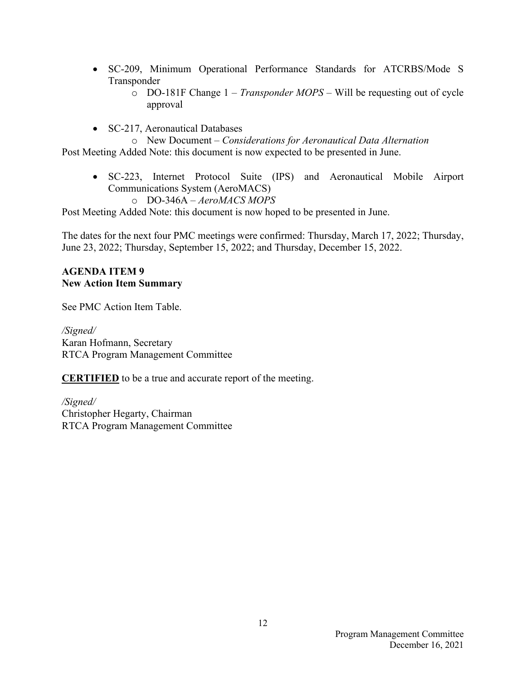- SC-209, Minimum Operational Performance Standards for ATCRBS/Mode S Transponder
	- o DO-181F Change 1 *Transponder MOPS*  Will be requesting out of cycle approval
- SC-217, Aeronautical Databases

o New Document – *Considerations for Aeronautical Data Alternation* Post Meeting Added Note: this document is now expected to be presented in June.

- SC-223, Internet Protocol Suite (IPS) and Aeronautical Mobile Airport Communications System (AeroMACS)
	- o DO-346A *AeroMACS MOPS*

Post Meeting Added Note: this document is now hoped to be presented in June.

The dates for the next four PMC meetings were confirmed: Thursday, March 17, 2022; Thursday, June 23, 2022; Thursday, September 15, 2022; and Thursday, December 15, 2022.

### **AGENDA ITEM 9 New Action Item Summary**

See PMC Action Item Table.

*/Signed/*  Karan Hofmann, Secretary RTCA Program Management Committee

**CERTIFIED** to be a true and accurate report of the meeting.

*/Signed/*  Christopher Hegarty, Chairman RTCA Program Management Committee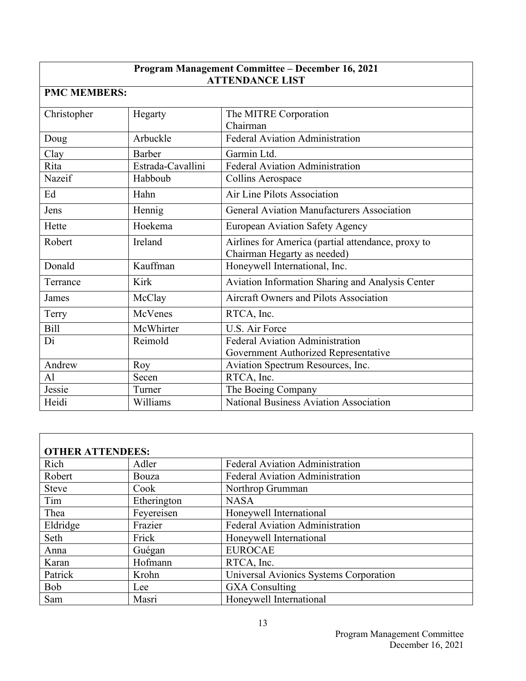# **Program Management Committee – December 16, 2021 ATTENDANCE LIST**

# **PMC MEMBERS:**

| Christopher | Hegarty           | The MITRE Corporation                              |  |
|-------------|-------------------|----------------------------------------------------|--|
|             |                   | Chairman                                           |  |
| Doug        | Arbuckle          | Federal Aviation Administration                    |  |
| Clay        | <b>Barber</b>     | Garmin Ltd.                                        |  |
| Rita        | Estrada-Cavallini | Federal Aviation Administration                    |  |
| Nazeif      | Habboub           | Collins Aerospace                                  |  |
| Ed          | Hahn              | Air Line Pilots Association                        |  |
| Jens        | Hennig            | <b>General Aviation Manufacturers Association</b>  |  |
| Hette       | Hoekema           | <b>European Aviation Safety Agency</b>             |  |
| Robert      | Ireland           | Airlines for America (partial attendance, proxy to |  |
|             |                   | Chairman Hegarty as needed)                        |  |
| Donald      | Kauffman          | Honeywell International, Inc.                      |  |
| Terrance    | Kirk              | Aviation Information Sharing and Analysis Center   |  |
| James       | McClay            | <b>Aircraft Owners and Pilots Association</b>      |  |
| Terry       | McVenes           | RTCA, Inc.                                         |  |
| <b>Bill</b> | McWhirter         | U.S. Air Force                                     |  |
| Di          | Reimold           | Federal Aviation Administration                    |  |
|             |                   | Government Authorized Representative               |  |
| Andrew      | Roy               | Aviation Spectrum Resources, Inc.                  |  |
| Al          | Secen             | RTCA, Inc.                                         |  |
| Jessie      | Turner            | The Boeing Company                                 |  |
| Heidi       | Williams          | <b>National Business Aviation Association</b>      |  |

| <b>OTHER ATTENDEES:</b> |             |                                        |  |
|-------------------------|-------------|----------------------------------------|--|
| Rich                    | Adler       | <b>Federal Aviation Administration</b> |  |
| Robert                  | Bouza       | <b>Federal Aviation Administration</b> |  |
| <b>Steve</b>            | Cook        | Northrop Grumman                       |  |
| Tim                     | Etherington | <b>NASA</b>                            |  |
| Thea                    | Feyereisen  | Honeywell International                |  |
| Eldridge                | Frazier     | Federal Aviation Administration        |  |
| Seth                    | Frick       | Honeywell International                |  |
| Anna                    | Guégan      | <b>EUROCAE</b>                         |  |
| Karan                   | Hofmann     | RTCA, Inc.                             |  |
| Patrick                 | Krohn       | Universal Avionics Systems Corporation |  |
| <b>Bob</b>              | Lee         | <b>GXA</b> Consulting                  |  |
| Sam                     | Masri       | Honeywell International                |  |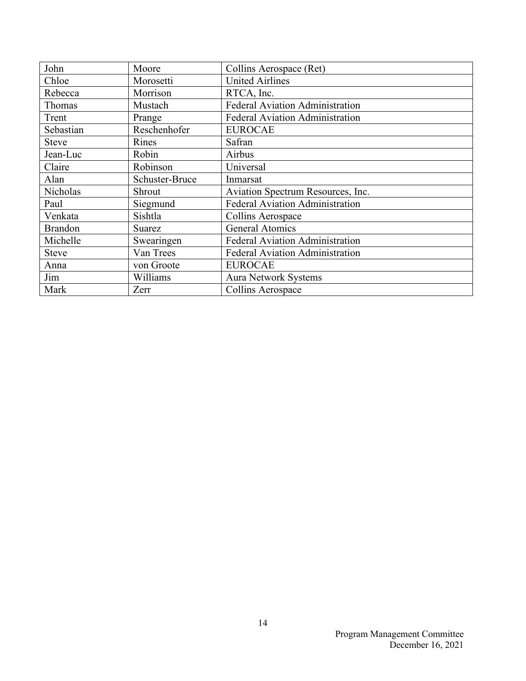| John           | Moore          | Collins Aerospace (Ret)                |  |
|----------------|----------------|----------------------------------------|--|
| Chloe          | Morosetti      | <b>United Airlines</b>                 |  |
| Rebecca        | Morrison       | RTCA, Inc.                             |  |
| Thomas         | Mustach        | <b>Federal Aviation Administration</b> |  |
| Trent          | Prange         | <b>Federal Aviation Administration</b> |  |
| Sebastian      | Reschenhofer   | <b>EUROCAE</b>                         |  |
| <b>Steve</b>   | Rines          | Safran                                 |  |
| Jean-Luc       | Robin          | Airbus                                 |  |
| Claire         | Robinson       | Universal                              |  |
| Alan           | Schuster-Bruce | Inmarsat                               |  |
| Nicholas       | Shrout         | Aviation Spectrum Resources, Inc.      |  |
| Paul           | Siegmund       | Federal Aviation Administration        |  |
| Venkata        | Sishtla        | Collins Aerospace                      |  |
| <b>Brandon</b> | Suarez         | <b>General Atomics</b>                 |  |
| Michelle       | Swearingen     | Federal Aviation Administration        |  |
| <b>Steve</b>   | Van Trees      | <b>Federal Aviation Administration</b> |  |
| Anna           | von Groote     | <b>EUROCAE</b>                         |  |
| Jim            | Williams       | <b>Aura Network Systems</b>            |  |
| Mark           | Zerr           | Collins Aerospace                      |  |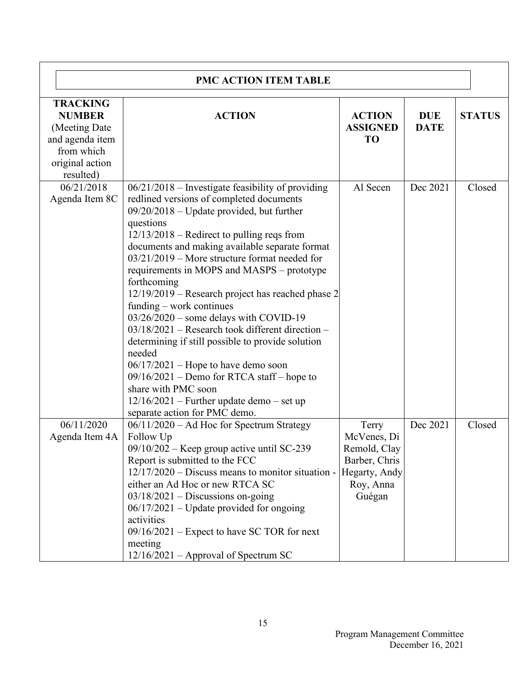| <b>PMC ACTION ITEM TABLE</b>                                                                                        |                                                                                                                                                                                                                                                                                                                                                                                                                                                                                                                                                                                                                                                                                                                                                                                                                               |                                                                                               |                           |               |
|---------------------------------------------------------------------------------------------------------------------|-------------------------------------------------------------------------------------------------------------------------------------------------------------------------------------------------------------------------------------------------------------------------------------------------------------------------------------------------------------------------------------------------------------------------------------------------------------------------------------------------------------------------------------------------------------------------------------------------------------------------------------------------------------------------------------------------------------------------------------------------------------------------------------------------------------------------------|-----------------------------------------------------------------------------------------------|---------------------------|---------------|
| <b>TRACKING</b><br><b>NUMBER</b><br>(Meeting Date)<br>and agenda item<br>from which<br>original action<br>resulted) | <b>ACTION</b>                                                                                                                                                                                                                                                                                                                                                                                                                                                                                                                                                                                                                                                                                                                                                                                                                 | <b>ACTION</b><br><b>ASSIGNED</b><br><b>TO</b>                                                 | <b>DUE</b><br><b>DATE</b> | <b>STATUS</b> |
| 06/21/2018<br>Agenda Item 8C                                                                                        | $06/21/2018$ – Investigate feasibility of providing<br>redlined versions of completed documents<br>$09/20/2018$ – Update provided, but further<br>questions<br>$12/13/2018$ – Redirect to pulling reqs from<br>documents and making available separate format<br>$03/21/2019$ – More structure format needed for<br>requirements in MOPS and MASPS – prototype<br>forthcoming<br>12/19/2019 - Research project has reached phase 2<br>funding $-$ work continues<br>03/26/2020 - some delays with COVID-19<br>$03/18/2021$ – Research took different direction –<br>determining if still possible to provide solution<br>needed<br>$06/17/2021$ – Hope to have demo soon<br>09/16/2021 - Demo for RTCA staff - hope to<br>share with PMC soon<br>$12/16/2021$ – Further update demo – set up<br>separate action for PMC demo. | Al Secen                                                                                      | Dec 2021                  | Closed        |
| 06/11/2020<br>Agenda Item 4A                                                                                        | 06/11/2020 - Ad Hoc for Spectrum Strategy<br>Follow Up<br>09/10/202 - Keep group active until SC-239<br>Report is submitted to the FCC<br>$12/17/2020$ – Discuss means to monitor situation -<br>either an Ad Hoc or new RTCA SC<br>$03/18/2021$ – Discussions on-going<br>$06/17/2021$ – Update provided for ongoing<br>activities<br>$09/16/2021$ – Expect to have SC TOR for next<br>meeting<br>$12/16/2021$ – Approval of Spectrum SC                                                                                                                                                                                                                                                                                                                                                                                     | Terry<br>McVenes, Di<br>Remold, Clay<br>Barber, Chris<br>Hegarty, Andy<br>Roy, Anna<br>Guégan | Dec 2021                  | Closed        |